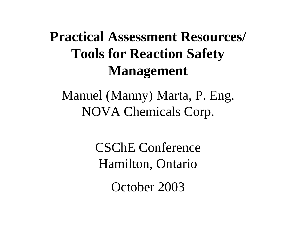# **Practical Assessment Resources/ Tools for Reaction Safety Management**

Manuel (Manny) Marta, P. Eng. NOVA Chemicals Corp.

> CSChE Conference Hamilton, Ontario

> > October 2003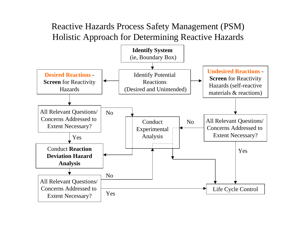#### Reactive Hazards Process Safety Management (PSM) Holistic Approach for Determining Reactive Hazards

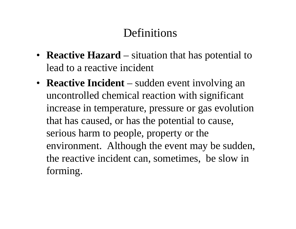### **Definitions**

- **Reactive Hazard** situation that has potential to lead to a reactive incident
- **Reactive Incident** sudden event involving an uncontrolled chemical reaction with significant increase in temperature, pressure or gas evolution that has caused, or has the potential to cause, serious harm to people, property or the environment. Although the event may be sudden, the reactive incident can, sometimes, be slow in forming.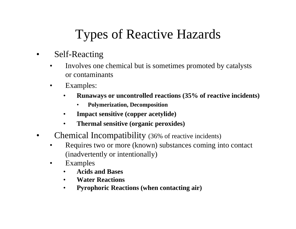# Types of Reactive Hazards

- • Self-Reacting
	- • Involves one chemical but is sometimes promoted by catalysts or contaminants
	- • Examples:
		- • **Runaways or uncontrolled reactions (35% of reactive incidents)**
			- •**Polymerization, Decomposition**
		- •**Impact sensitive (copper acetylide)**
		- •**Thermal sensitive (organic peroxides)**
- • Chemical Incompatibility (36% of reactive incidents)
	- • Requires two or more (known) substances coming into contact (inadvertently or intentionally)
	- • Examples
		- $\bullet$ **Acids and Bases**
		- •**Water Reactions**
		- $\bullet$ **Pyrophoric Reactions (when contacting air)**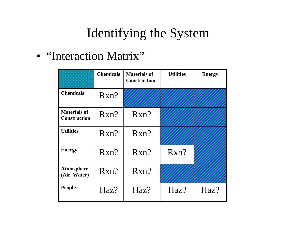# Identifying the System

• "Interaction Matrix"

|                                            | <b>Chemicals</b> | <b>Materials of</b><br><b>Construction</b> | <b>Utilities</b> | <b>Energy</b> |
|--------------------------------------------|------------------|--------------------------------------------|------------------|---------------|
| <b>Chemicals</b>                           | Rxn?             |                                            |                  |               |
| <b>Materials of</b><br><b>Construction</b> | Rxn?             | Rxn?                                       |                  |               |
| <b>Utilities</b>                           | Rxn?             | Rxn?                                       |                  |               |
| <b>Energy</b>                              | Rxn?             | Rxn?                                       | Rxn?             |               |
| <b>Atmosphere</b><br>(Air, Water)          | Rxn?             | Rxn?                                       |                  |               |
| <b>People</b>                              | Haz?             | Haz?                                       | Haz?             | Haz?          |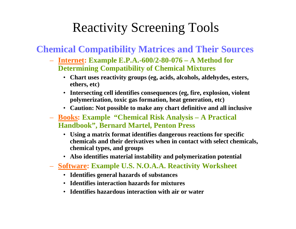### Reactivity Screening Tools

#### **Chemical Compatibility Matrices and Their Sources**

- **Internet: Example E.P.A.-600/2-80-076 A Method for Determining Compatibility of Chemical Mixtures**
	- **Chart uses reactivity groups (eg, acids, alcohols, aldehydes, esters, ethers, etc)**
	- **Intersecting cell identifies consequences (eg, fire, explosion, violent polymerization, toxic gas formation, heat generation, etc)**
	- **Caution: Not possible to make any chart definitive and all inclusive**
- **Books: Example "Chemical Risk Analysis A Practical Handbook", Bernard Martel, Penton Press**
	- **Using a matrix format identifies dangerous reactions for specific chemicals and their derivatives when in contact with select chemicals, chemical types, and groups**
	- **Also identifies material instability and polymerization potential**
- **Software: Example U.S. N.O.A.A. Reactivity Worksheet**
	- **Identifies general hazards of substances**
	- **Identifies interaction hazards for mixtures**
	- **Identifies hazardous interaction with air or water**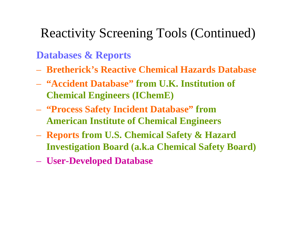### **Databases & Reports**

- **Bretherick's Reactive Chemical Hazards Database**
- **"Accident Database" from U.K. Institution of Chemical Engineers (IChemE)**
- **"Process Safety Incident Database" from American Institute of Chemical Engineers**
- **Reports from U.S. Chemical Safety & Hazard Investigation Board (a.k.a Chemical Safety Board)**
- **User-Developed Database**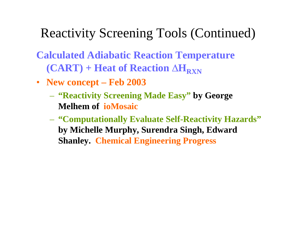**Calculated Adiabatic Reaction Temperature (CART) + Heat of Reaction ∆H<sub>RXN</sub>** 

- **New concept Feb 2003**
	- **"Reactivity Screening Made Easy" by George Melhem of ioMosaic**
	- **"Computationally Evaluate Self-Reactivity Hazards" by Michelle Murphy, Surendra Singh, Edward Shanley. Chemical Engineering Progress**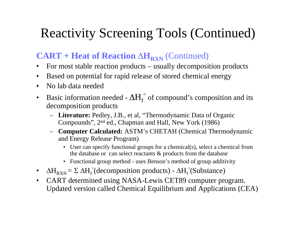### $CART + Heat of Reaction  $\Delta H_{RXN}$  (Continued)$

- $\bullet$ For most stable reaction products – usually decomposition products
- •Based on potential for rapid release of stored chemical energy
- •No lab data needed
- $\bullet$ Basic information needed -  $\Delta H_{\rm f}$  $\degree$  of compound's composition and its decomposition products
	- **Literature:** Pedley, J.B., et al, "Thermodynamic Data of Organic Compounds", 2nd ed., Chapman and Hall, New York (1986)
	- **Computer Calculated:** ASTM's CHETAH (Chemical Thermodynamic and Energy Release Program)
		- User can specify functional groups for a chemical(s), select a chemical from the database or can select reactants & products from the database
		- Functional group method uses Benson's method of group additivity
- $\bullet$  $\Delta H_{RXN} = \Sigma \Delta H_f^{\circ}$  (decomposition products) -  $\Delta H_f^{\circ}$  (Substance)
- $\bullet$  CART determined using NASA-Lewis CET89 computer program. Updated version called Chemical Equilibrium and Applications (CEA)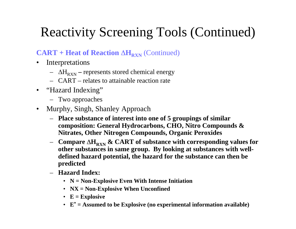#### $CART + Heat$  of Reaction  $\Delta H_{RXN}$  (Continued)

- $\bullet$  Interpretations
	- ∆ HRXNrepresents stored chemical energy
	- CART relates to attainable reaction rate
- "Hazard Indexing"
	- Two approaches
- $\bullet$  Murphy, Singh, Shanley Approach
	- **Place substance of interest into one of 5 groupings of similar composition: General Hydrocarbons, CHO, Nitro Compounds & Nitrates, Other Nitrogen Compounds, Organic Peroxides**
	- $\boldsymbol{\Delta} = \boldsymbol{\Delta} = \boldsymbol{\Delta} \boldsymbol{\Delta}$   $\boldsymbol{\Delta}$   $\boldsymbol{\Delta}$   $\boldsymbol{\Delta}$   $\boldsymbol{\Delta}$   $\boldsymbol{\Delta}$   $\boldsymbol{\Delta}$   $\boldsymbol{\Gamma}$  of substance with corresponding values for **other substances in same group. By looking at substances with welldefined hazard potential, the hazard for the substance can then be predicted**
	- **Hazard Index:**
		- **N = Non-Explosive Even With Intense Initiation**
		- **NX = Non-Explosive When Unconfined**
		- **E = Explosive**
		- **<sup>E</sup>\* = Assumed to be Explosive (no experimental information available)**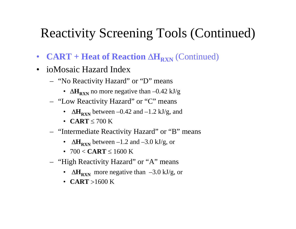- $\bullet$ • **CART + Heat of Reaction ∆H<sub>RXN</sub>** (Continued)
- ioMosaic Hazard Index
	- "No Reactivity Hazard" or "D" means
		- $\Delta H_{\rm RXN}$  no more negative than –0.42 kJ/g
	- "Low Reactivity Hazard" or "C" means
		- $\Delta H_{\rm RXN}$  between –0.42 and –1.2 kJ/g, and
		- **CART**≤ 700 K
	- "Intermediate Reactivity Hazard" or "B" means
		- $\Delta H_{RXN}$  between  $-1.2$  and  $-3.0$  kJ/g, or
		- 700 < **CART**≤ 1600 K
	- "High Reactivity Hazard" or "A" means
		- $\Delta H_{RXN}$  more negative than  $-3.0$  kJ/g, or
		- **CART**>1600 K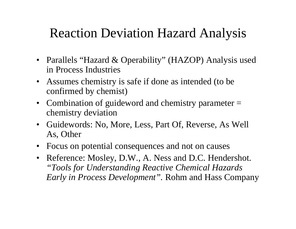## Reaction Deviation Hazard Analysis

- Parallels "Hazard & Operability" (HAZOP) Analysis used in Process Industries
- Assumes chemistry is safe if done as intended (to be confirmed by chemist)
- Combination of guideword and chemistry parameter = chemistry deviation
- Guidewords: No, More, Less, Part Of, Reverse, As Well As, Other
- Focus on potential consequences and not on causes
- Reference: Mosley, D.W., A. Ness and D.C. Hendershot. *"Tools for Understanding Reactive Chemical Hazards Early in Process Development".* Rohm and Hass Company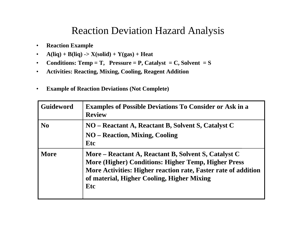### Reaction Deviation Hazard Analysis

- $\bullet$ **Reaction Example**
- $\bullet$  $A(liq) + B(liq) \rightarrow X(solid) + Y(gas) + Heat$
- $\bullet$ **Conditions: Temp = T, Pressure = P, Catalyst = C, Solvent = S**
- $\bullet$ **Activities: Reacting, Mixing, Cooling, Reagent Addition**
- •**Example of Reaction Deviations (Not Complete)**

| <b>Guideword</b> | <b>Examples of Possible Deviations To Consider or Ask in a</b><br><b>Review</b>                                                                                                                                                           |
|------------------|-------------------------------------------------------------------------------------------------------------------------------------------------------------------------------------------------------------------------------------------|
| N <sub>0</sub>   | NO – Reactant A, Reactant B, Solvent S, Catalyst C<br><b>NO</b> – Reaction, Mixing, Cooling<br>Etc                                                                                                                                        |
| <b>More</b>      | More – Reactant A, Reactant B, Solvent S, Catalyst C<br>More (Higher) Conditions: Higher Temp, Higher Press<br>More Activities: Higher reaction rate, Faster rate of addition<br>of material, Higher Cooling, Higher Mixing<br><b>Etc</b> |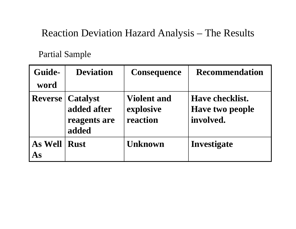### Reaction Deviation Hazard Analysis – The Results

#### Partial Sample

| Guide-         | <b>Deviation</b>                                        | <b>Consequence</b>                          | <b>Recommendation</b>                                         |
|----------------|---------------------------------------------------------|---------------------------------------------|---------------------------------------------------------------|
| word           |                                                         |                                             |                                                               |
| <b>Reverse</b> | <b>Catalyst</b><br>added after<br>reagents are<br>added | <b>Violent and</b><br>explosive<br>reaction | <b>Have checklist.</b><br><b>Have two people</b><br>involved. |
| As Well<br>As  | <b>Rust</b>                                             | <b>Unknown</b>                              | Investigate                                                   |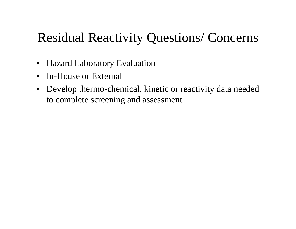## Residual Reactivity Questions/ Concerns

- $\bullet$ Hazard Laboratory Evaluation
- $\bullet$ In-House or External
- $\bullet$  Develop thermo-chemical, kinetic or reactivity data needed to complete screening and assessment